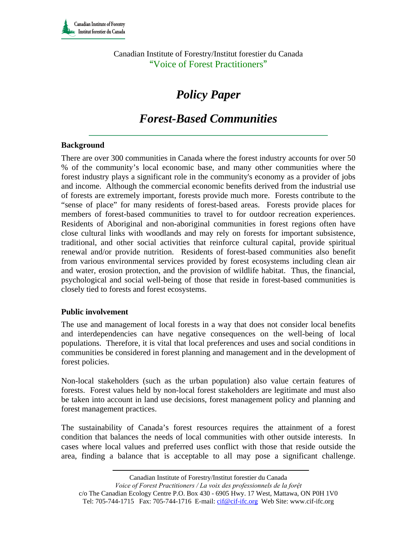Canadian Institute of Forestry/Institut forestier du Canada "Voice of Forest Practitioners"

# *Policy Paper*

## *Forest-Based Communities*

#### **Background**

There are over 300 communities in Canada where the forest industry accounts for over 50 % of the community's local economic base, and many other communities where the forest industry plays a significant role in the community's economy as a provider of jobs and income. Although the commercial economic benefits derived from the industrial use of forests are extremely important, forests provide much more. Forests contribute to the "sense of place" for many residents of forest-based areas. Forests provide places for members of forest-based communities to travel to for outdoor recreation experiences. Residents of Aboriginal and non-aboriginal communities in forest regions often have close cultural links with woodlands and may rely on forests for important subsistence, traditional, and other social activities that reinforce cultural capital, provide spiritual renewal and/or provide nutrition. Residents of forest-based communities also benefit from various environmental services provided by forest ecosystems including clean air and water, erosion protection, and the provision of wildlife habitat. Thus, the financial, psychological and social well-being of those that reside in forest-based communities is closely tied to forests and forest ecosystems.

#### **Public involvement**

The use and management of local forests in a way that does not consider local benefits and interdependencies can have negative consequences on the well-being of local populations. Therefore, it is vital that local preferences and uses and social conditions in communities be considered in forest planning and management and in the development of forest policies.

Non-local stakeholders (such as the urban population) also value certain features of forests. Forest values held by non-local forest stakeholders are legitimate and must also be taken into account in land use decisions, forest management policy and planning and forest management practices.

The sustainability of Canada's forest resources requires the attainment of a forest condition that balances the needs of local communities with other outside interests. In cases where local values and preferred uses conflict with those that reside outside the area, finding a balance that is acceptable to all may pose a significant challenge.

Canadian Institute of Forestry/Institut forestier du Canada

*Voice of Forest Practitioners / La voix des professionnels de la forệt* 

c/o The Canadian Ecology Centre P.O. Box 430 - 6905 Hwy. 17 West, Mattawa, ON P0H 1V0 Tel: 705-744-1715 Fax: 705-744-1716 E-mail: cif@cif-ifc.org Web Site: www.cif-ifc.org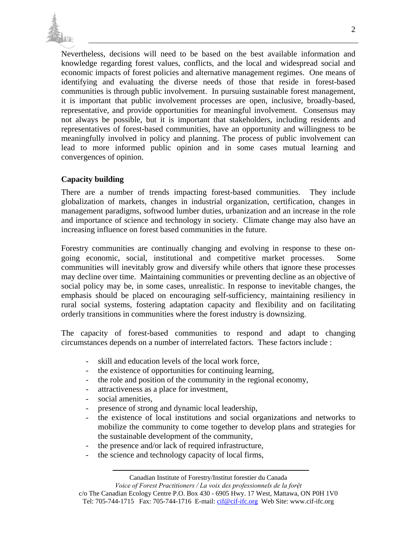

Nevertheless, decisions will need to be based on the best available information and knowledge regarding forest values, conflicts, and the local and widespread social and economic impacts of forest policies and alternative management regimes. One means of identifying and evaluating the diverse needs of those that reside in forest-based communities is through public involvement. In pursuing sustainable forest management, it is important that public involvement processes are open, inclusive, broadly-based, representative, and provide opportunities for meaningful involvement. Consensus may not always be possible, but it is important that stakeholders, including residents and representatives of forest-based communities, have an opportunity and willingness to be meaningfully involved in policy and planning. The process of public involvement can lead to more informed public opinion and in some cases mutual learning and convergences of opinion.

## **Capacity building**

There are a number of trends impacting forest-based communities. They include globalization of markets, changes in industrial organization, certification, changes in management paradigms, softwood lumber duties, urbanization and an increase in the role and importance of science and technology in society. Climate change may also have an increasing influence on forest based communities in the future.

Forestry communities are continually changing and evolving in response to these ongoing economic, social, institutional and competitive market processes. Some communities will inevitably grow and diversify while others that ignore these processes may decline over time. Maintaining communities or preventing decline as an objective of social policy may be, in some cases, unrealistic. In response to inevitable changes, the emphasis should be placed on encouraging self-sufficiency, maintaining resiliency in rural social systems, fostering adaptation capacity and flexibility and on facilitating orderly transitions in communities where the forest industry is downsizing.

The capacity of forest-based communities to respond and adapt to changing circumstances depends on a number of interrelated factors. These factors include :

- skill and education levels of the local work force,
- the existence of opportunities for continuing learning,
- the role and position of the community in the regional economy,
- attractiveness as a place for investment,
- social amenities.
- presence of strong and dynamic local leadership,
- the existence of local institutions and social organizations and networks to mobilize the community to come together to develop plans and strategies for the sustainable development of the community,
- the presence and/or lack of required infrastructure,
- the science and technology capacity of local firms,

Canadian Institute of Forestry/Institut forestier du Canada

*Voice of Forest Practitioners / La voix des professionnels de la forệt*  c/o The Canadian Ecology Centre P.O. Box 430 - 6905 Hwy. 17 West, Mattawa, ON P0H 1V0

Tel: 705-744-1715 Fax: 705-744-1716 E-mail: cif@cif-ifc.org Web Site: www.cif-ifc.org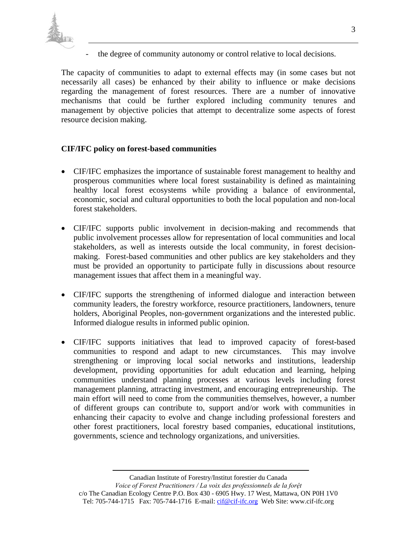

the degree of community autonomy or control relative to local decisions.

The capacity of communities to adapt to external effects may (in some cases but not necessarily all cases) be enhanced by their ability to influence or make decisions regarding the management of forest resources. There are a number of innovative mechanisms that could be further explored including community tenures and management by objective policies that attempt to decentralize some aspects of forest resource decision making.

### **CIF/IFC policy on forest-based communities**

- CIF/IFC emphasizes the importance of sustainable forest management to healthy and prosperous communities where local forest sustainability is defined as maintaining healthy local forest ecosystems while providing a balance of environmental, economic, social and cultural opportunities to both the local population and non-local forest stakeholders.
- CIF/IFC supports public involvement in decision-making and recommends that public involvement processes allow for representation of local communities and local stakeholders, as well as interests outside the local community, in forest decisionmaking. Forest-based communities and other publics are key stakeholders and they must be provided an opportunity to participate fully in discussions about resource management issues that affect them in a meaningful way.
- CIF/IFC supports the strengthening of informed dialogue and interaction between community leaders, the forestry workforce, resource practitioners, landowners, tenure holders, Aboriginal Peoples, non-government organizations and the interested public. Informed dialogue results in informed public opinion.
- CIF/IFC supports initiatives that lead to improved capacity of forest-based communities to respond and adapt to new circumstances. This may involve strengthening or improving local social networks and institutions, leadership development, providing opportunities for adult education and learning, helping communities understand planning processes at various levels including forest management planning, attracting investment, and encouraging entrepreneurship. The main effort will need to come from the communities themselves, however, a number of different groups can contribute to, support and/or work with communities in enhancing their capacity to evolve and change including professional foresters and other forest practitioners, local forestry based companies, educational institutions, governments, science and technology organizations, and universities.

Canadian Institute of Forestry/Institut forestier du Canada

*Voice of Forest Practitioners / La voix des professionnels de la forệt*  c/o The Canadian Ecology Centre P.O. Box 430 - 6905 Hwy. 17 West, Mattawa, ON P0H 1V0 Tel: 705-744-1715 Fax: 705-744-1716 E-mail: cif@cif-ifc.org Web Site: www.cif-ifc.org